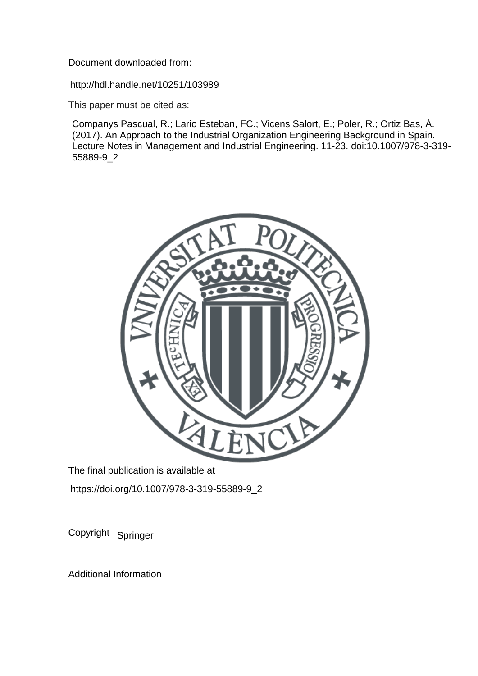Document downloaded from:

http://hdl.handle.net/10251/103989

This paper must be cited as:

Companys Pascual, R.; Lario Esteban, FC.; Vicens Salort, E.; Poler, R.; Ortiz Bas, Á. (2017). An Approach to the Industrial Organization Engineering Background in Spain. Lecture Notes in Management and Industrial Engineering. 11-23. doi:10.1007/978-3-319- 55889-9\_2



The final publication is available at https://doi.org/10.1007/978-3-319-55889-9\_2

Copyright Springer

Additional Information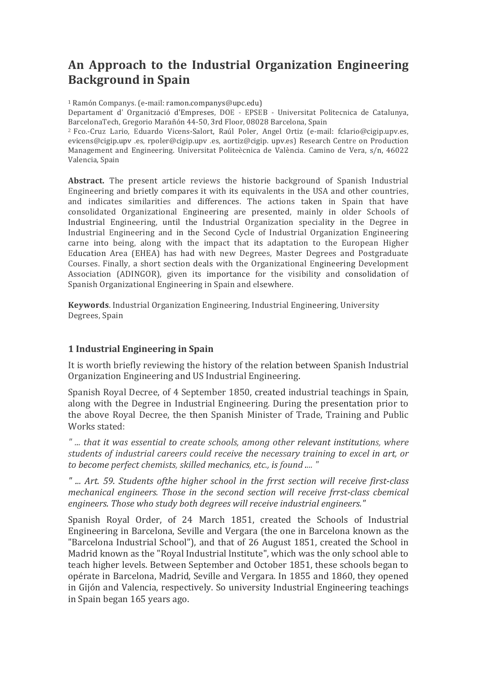# An Approach to the Industrial Organization Engineering **Background in Spain**

<sup>1</sup> Ramón Companys. (e-mail: ramon.companys@upc.edu)

Departament d' Organització d'Empreses, DOE - EPSEB - Universitat Politecnica de Catalunya, BarcelonaTech, Gregorio Marañón 44-50, 3rd Floor, 08028 Barcelona, Spain

<sup>2</sup> Fco.-Cruz Lario, Eduardo Vicens-Salort, Raúl Poler, Angel Ortiz (e-mail: fclario@cigip.upv.es, evicens@cigip.upv .es, rpoler@cigip.upv .es, aortiz@cigip. upv.es) Research Centre on Production Management and Engineering. Universitat Politeècnica de València. Camino de Vera, s/n, 46022 Valencia, Spain

**Abstract.** The present article reviews the historie background of Spanish Industrial Engineering and brietly compares it with its equivalents in the USA and other countries, and indicates similarities and differences. The actions taken in Spain that have consolidated Organizational Engineering are presented, mainly in older Schools of Industrial Engineering, until the Industrial Organization speciality in the Degree in Industrial Engineering and in the Second Cycle of Industrial Organization Engineering carne into being, along with the impact that its adaptation to the European Higher Education Area (EHEA) has had with new Degrees, Master Degrees and Postgraduate Courses. Finally, a short section deals with the Organizational Engineering Development Association (ADINGOR), given its importance for the visibility and consolidation of Spanish Organizational Engineering in Spain and elsewhere.

**Keywords**. Industrial Organization Engineering, Industrial Engineering, University Degrees, Spain

## **1 Industrial Engineering in Spain**

It is worth briefly reviewing the history of the relation between Spanish Industrial Organization Engineering and US Industrial Engineering.

Spanish Royal Decree, of 4 September 1850, created industrial teachings in Spain, along with the Degree in Industrial Engineering. During the presentation prior to the above Royal Decree, the then Spanish Minister of Trade, Training and Public Works stated:

*" ... that it was essential to create schools, among other relevant institutions, where students of industrial careers could receive the necessary training to excel in art, or* to *become perfect chemists, skilled mechanics, etc., is found .... "* 

*" ... Art. 59. Students ofthe higher school in the frrst section will receive first-class mechanical engineers. Those in the second section will receive frrst-class cbemical* engineers. Those who study both degrees will receive industrial engineers."

Spanish Royal Order, of 24 March 1851, created the Schools of Industrial Engineering in Barcelona, Seville and Vergara (the one in Barcelona known as the "Barcelona Industrial School"), and that of 26 August 1851, created the School in Madrid known as the "Royal Industrial lnstitute", which was the only school able to teach higher levels. Between September and October 1851, these schools began to opérate in Barcelona, Madrid, Seville and Vergara. In 1855 and 1860, they opened in Gijón and Valencia, respectively. So university Industrial Engineering teachings in Spain began 165 years ago.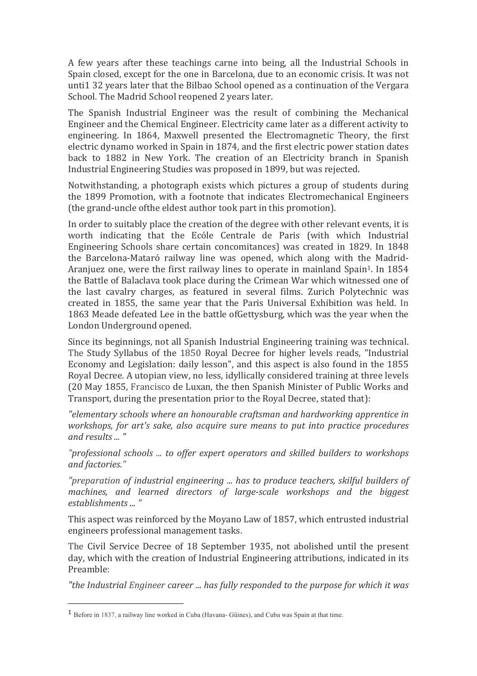A few years after these teachings carne into being, all the Industrial Schools in Spain closed, except for the one in Barcelona, due to an economic crisis. It was not unti1 32 years later that the Bilbao School opened as a continuation of the Vergara School. The Madrid School reopened 2 years later.

The Spanish Industrial Engineer was the result of combining the Mechanical Engineer and the Chemical Engineer. Electricity came later as a different activity to engineering. In 1864, Maxwell presented the Electromagnetic Theory, the first electric dynamo worked in Spain in 1874, and the first electric power station dates back to 1882 in New York. The creation of an Electricity branch in Spanish Industrial Engineering Studies was proposed in 1899, but was rejected.

Notwithstanding, a photograph exists which pictures a group of students during the 1899 Promotion, with a footnote that indicates Electromechanical Engineers (the grand-uncle of the eldest author took part in this promotion).

In order to suitably place the creation of the degree with other relevant events, it is worth indicating that the Ecóle Centrale de Paris (with which Industrial Engineering Schools share certain concomitances) was created in 1829. In 1848 the Barcelona-Mataró railway line was opened, which along with the Madrid-Araniuez one, were the first railway lines to operate in mainland Spain<sup>1</sup>. In 1854 the Battle of Balaclava took place during the Crimean War which witnessed one of the last cavalry charges, as featured in several films. Zurich Polytechnic was created in 1855, the same year that the Paris Universal Exhibition was held. In 1863 Meade defeated Lee in the battle ofGettysburg, which was the year when the London Underground opened.

Since its beginnings, not all Spanish Industrial Engineering training was technical. The Study Syllabus of the 1850 Royal Decree for higher levels reads, "Industrial Economy and Legislation: daily lesson", and this aspect is also found in the 1855 Royal Decree. A utopian view, no less, idyllically considered training at three levels (20 May 1855, Francisco de Luxan, the then Spanish Minister of Public Works and Transport, during the presentation prior to the Royal Decree, stated that):

*"elementary schools where an honourable craftsman and hardworking apprentice in workshops, for art's sake, also acquire sure means to put into practice procedures and results ... "*

*"professional schools ... to offer expert operators and skilled builders to workshops and factories."*

*"preparation of industrial engineering ... has to produce teachers, skilful builders of machines, and learned directors of large-scale workshops and the biggest establishments ... "*

This aspect was reinforced by the Moyano Law of 1857, which entrusted industrial engineers professional management tasks.

The Civil Service Decree of 18 September 1935, not abolished until the present day, which with the creation of Industrial Engineering attributions, indicated in its Preamble:

"the Industrial *Engineer career* ... has fully responded to the purpose for which it was

 

<sup>1</sup> Before in 1837, a railway line worked in Cuba (Havana- Güines), and Cuba was Spain at that time.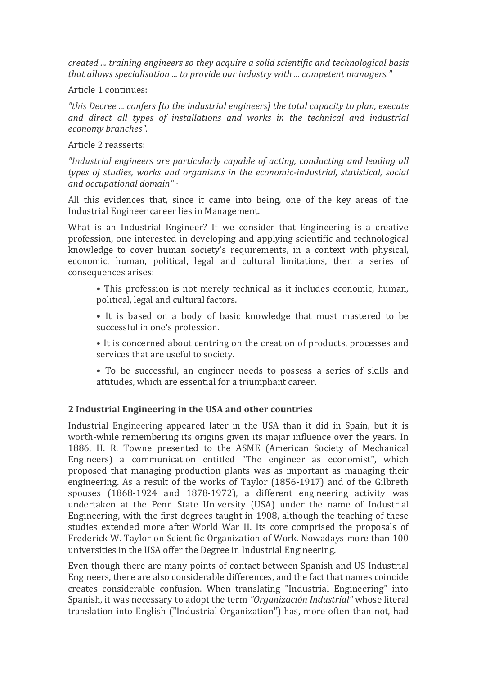*created ... training engineers so they acquire a solid scientific and technological basis* that allows specialisation ... to provide our industry with ... *competent managers.*"

Article 1 continues:

"this Decree ... confers *[to the industrial engineers]* the total capacity to plan, execute and direct all types of installations and works in the technical and industrial *economy branches".*

Article 2 reasserts:

*"Industrial engineers are particularly capable of acting, conducting and leading all types* of *studies, works and organisms in the economic-industrial, statistical, social and occupational domain" ·*

All this evidences that, since it came into being, one of the key areas of the Industrial Engineer career lies in Management.

What is an Industrial Engineer? If we consider that Engineering is a creative profession, one interested in developing and applying scientific and technological knowledge to cover human society's requirements, in a context with physical, economic, human, political, legal and cultural limitations, then a series of consequences arises:

- This profession is not merely technical as it includes economic, human, political, legal and cultural factors.
- It is based on a body of basic knowledge that must mastered to be successful in one's profession.
- It is concerned about centring on the creation of products, processes and services that are useful to society.
- To be successful, an engineer needs to possess a series of skills and attitudes, which are essential for a triumphant career.

## **2 Industrial Engineering in the USA and other countries**

Industrial Engineering appeared later in the USA than it did in Spain, but it is worth-while remembering its origins given its majar influence over the years. In 1886, H. R. Towne presented to the ASME (American Society of Mechanical Engineers) a communication entitled "The engineer as economist", which proposed that managing production plants was as important as managing their engineering. As a result of the works of Taylor (1856-1917) and of the Gilbreth spouses  $(1868-1924$  and  $1878-1972$ ), a different engineering activity was undertaken at the Penn State University (USA) under the name of Industrial Engineering, with the first degrees taught in 1908, although the teaching of these studies extended more after World War II. Its core comprised the proposals of Frederick W. Taylor on Scientific Organization of Work. Nowadays more than 100 universities in the USA offer the Degree in Industrial Engineering.

Even though there are many points of contact between Spanish and US Industrial Engineers, there are also considerable differences, and the fact that names coincide creates considerable confusion. When translating "Industrial Engineering" into Spanish, it was necessary to adopt the term *"Organización Industrial"* whose literal translation into English ("Industrial Organization") has, more often than not, had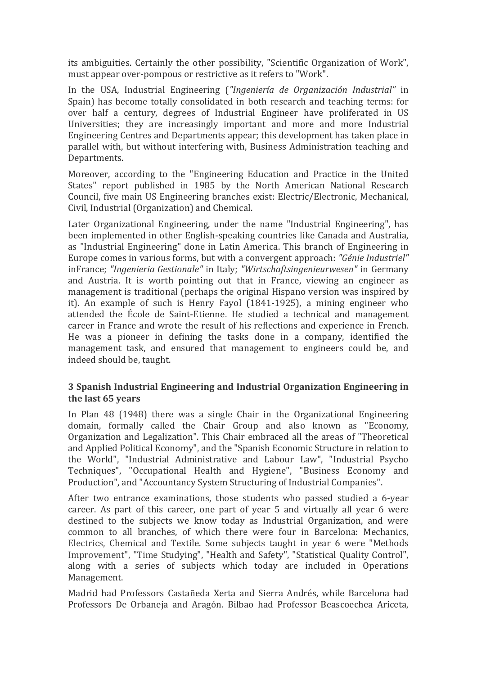its ambiguities. Certainly the other possibility, "Scientific Organization of Work", must appear over-pompous or restrictive as it refers to "Work".

In the USA, Industrial Engineering ("Ingeniería de Organización Industrial" in Spain) has become totally consolidated in both research and teaching terms: for over half a century, degrees of Industrial Engineer have proliferated in US Universities; they are increasingly important and more and more Industrial Engineering Centres and Departments appear; this development has taken place in parallel with, but without interfering with, Business Administration teaching and Departments.

Moreover, according to the "Engineering Education and Practice in the United States" report published in 1985 by the North American National Research Council, five main US Engineering branches exist: Electric/Electronic, Mechanical, Civil, Industrial (Organization) and Chemical.

Later Organizational Engineering, under the name "Industrial Engineering", has been implemented in other English-speaking countries like Canada and Australia, as "Industrial Engineering" done in Latin America. This branch of Engineering in Europe comes in various forms, but with a convergent approach: *"Génie Industriel"* inFrance; *"Ingenieria Gestionale"* in Italy; *"Wirtschaftsingenieurwesen"* in Germany and Austria. It is worth pointing out that in France, viewing an engineer as management is traditional (perhaps the original Hispano version was inspired by it). An example of such is Henry Fayol  $(1841-1925)$ , a mining engineer who attended the École de Saint-Etienne. He studied a technical and management career in France and wrote the result of his reflections and experience in French. He was a pioneer in defining the tasks done in a company, identified the management task, and ensured that management to engineers could be, and indeed should be, taught.

#### **3 Spanish Industrial Engineering and Industrial Organization Engineering in** the last 65 years

In Plan  $48$  (1948) there was a single Chair in the Organizational Engineering domain, formally called the Chair Group and also known as "Economy, Organization and Legalization". This Chair embraced all the areas of "Theoretical and Applied Political Economy", and the "Spanish Economic Structure in relation to the World", "Industrial Administrative and Labour Law", "Industrial Psycho Techniques", "Occupational Health and Hygiene", "Business Economy and Production", and "Accountancy System Structuring of Industrial Companies".

After two entrance examinations, those students who passed studied a 6-year career. As part of this career, one part of year 5 and virtually all year 6 were destined to the subjects we know today as Industrial Organization, and were common to all branches, of which there were four in Barcelona: Mechanics, Electrics, Chemical and Textile. Some subjects taught in year 6 were "Methods" Improvement", "Time Studying", "Health and Safety", "Statistical Quality Control", along with a series of subjects which today are included in Operations Management.

Madrid had Professors Castañeda Xerta and Sierra Andrés, while Barcelona had Professors De Orbaneja and Aragón. Bilbao had Professor Beascoechea Ariceta,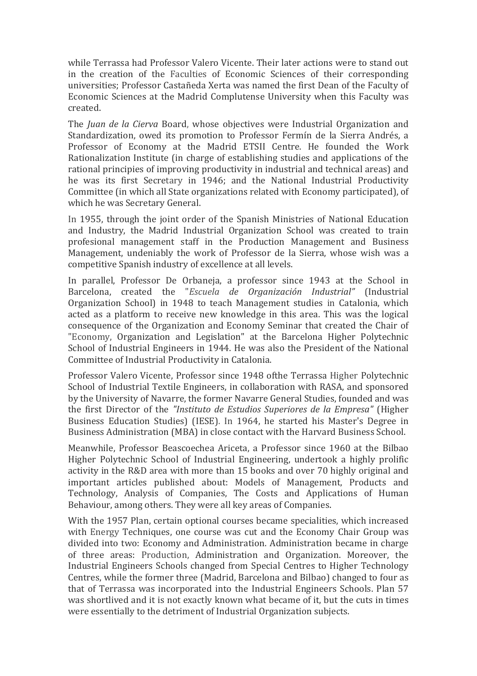while Terrassa had Professor Valero Vicente. Their later actions were to stand out in the creation of the Faculties of Economic Sciences of their corresponding universities; Professor Castañeda Xerta was named the first Dean of the Faculty of Economic Sciences at the Madrid Complutense University when this Faculty was created.

The *Juan de la Cierva* Board, whose objectives were Industrial Organization and Standardization, owed its promotion to Professor Fermín de la Sierra Andrés, a Professor of Economy at the Madrid ETSII Centre. He founded the Work Rationalization Institute (in charge of establishing studies and applications of the rational principies of improving productivity in industrial and technical areas) and he was its first Secretary in 1946; and the National Industrial Productivity Committee (in which all State organizations related with Economy participated), of which he was Secretary General.

In 1955, through the joint order of the Spanish Ministries of National Education and Industry, the Madrid Industrial Organization School was created to train profesional management staff in the Production Management and Business Management, undeniably the work of Professor de la Sierra, whose wish was a competitive Spanish industry of excellence at all levels.

In parallel, Professor De Orbaneja, a professor since 1943 at the School in Barcelona, created the "*Escuela de Organización Industrial"* (Industrial Organization School) in 1948 to teach Management studies in Catalonia, which acted as a platform to receive new knowledge in this area. This was the logical consequence of the Organization and Economy Seminar that created the Chair of "Economy, Organization and Legislation" at the Barcelona Higher Polytechnic School of Industrial Engineers in 1944. He was also the President of the National Committee of Industrial Productivity in Catalonia.

Professor Valero Vicente, Professor since 1948 ofthe Terrassa Higher Polytechnic School of Industrial Textile Engineers, in collaboration with RASA, and sponsored by the University of Navarre, the former Navarre General Studies, founded and was the first Director of the "Instituto de Estudios Superiores de la Empresa" (Higher Business Education Studies) (IESE). In 1964, he started his Master's Degree in Business Administration (MBA) in close contact with the Harvard Business School.

Meanwhile, Professor Beascoechea Ariceta, a Professor since 1960 at the Bilbao Higher Polytechnic School of Industrial Engineering, undertook a highly prolific activity in the R&D area with more than 15 books and over 70 highly original and important articles published about: Models of Management, Products and Technology, Analysis of Companies, The Costs and Applications of Human Behaviour, among others. They were all key areas of Companies.

With the 1957 Plan, certain optional courses became specialities, which increased with Energy Techniques, one course was cut and the Economy Chair Group was divided into two: Economy and Administration. Administration became in charge of three areas: Production, Administration and Organization. Moreover, the Industrial Engineers Schools changed from Special Centres to Higher Technology Centres, while the former three (Madrid, Barcelona and Bilbao) changed to four as that of Terrassa was incorporated into the Industrial Engineers Schools. Plan 57 was shortlived and it is not exactly known what became of it, but the cuts in times were essentially to the detriment of Industrial Organization subjects.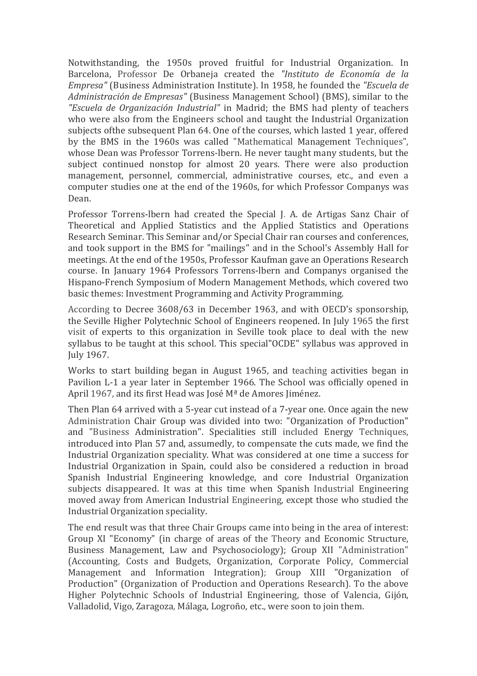Notwithstanding, the 1950s proved fruitful for Industrial Organization. In Barcelona, Professor De Orbaneja created the *"Instituto de Economía de la Empresa"* (Business Administration Institute). In 1958, he founded the *"Escuela de Administración de Empresas"* (Business Management School) (BMS), similar to the *"Escuela de Organización Industrial"* in Madrid; the BMS had plenty of teachers who were also from the Engineers school and taught the Industrial Organization subjects ofthe subsequent Plan 64. One of the courses, which lasted 1 year, offered by the BMS in the 1960s was called "Mathematical Management Techniques", whose Dean was Professor Torrens-Ibern. He never taught many students, but the subject continued nonstop for almost 20 years. There were also production management, personnel, commercial, administrative courses, etc., and even a computer studies one at the end of the 1960s, for which Professor Companys was Dean.

Professor Torrens-lbern had created the Special J. A. de Artigas Sanz Chair of Theoretical and Applied Statistics and the Applied Statistics and Operations Research Seminar. This Seminar and/or Special Chair ran courses and conferences, and took support in the BMS for "mailings" and in the School's Assembly Hall for meetings. At the end of the 1950s, Professor Kaufman gave an Operations Research course. In January 1964 Professors Torrens-lbern and Companys organised the Hispano-French Symposium of Modern Management Methods, which covered two basic themes: Investment Programming and Activity Programming.

According to Decree 3608/63 in December 1963, and with OECD's sponsorship, the Seville Higher Polytechnic School of Engineers reopened. In July 1965 the first visit of experts to this organization in Seville took place to deal with the new syllabus to be taught at this school. This special"OCDE" syllabus was approved in July 1967.

Works to start building began in August 1965, and teaching activities began in Pavilion L-1 a year later in September 1966. The School was officially opened in April 1967, and its first Head was José  $M^{\underline{a}}$  de Amores Jiménez.

Then Plan 64 arrived with a 5-year cut instead of a 7-year one. Once again the new Administration Chair Group was divided into two: "Organization of Production" and "Business Administration". Specialities still included Energy Techniques, introduced into Plan 57 and, assumedly, to compensate the cuts made, we find the Industrial Organization speciality. What was considered at one time a success for Industrial Organization in Spain, could also be considered a reduction in broad Spanish Industrial Engineering knowledge, and core Industrial Organization subjects disappeared. It was at this time when Spanish Industrial Engineering moved away from American Industrial Engineering, except those who studied the Industrial Organization speciality.

The end result was that three Chair Groups came into being in the area of interest: Group XI "Economy" (in charge of areas of the Theory and Economic Structure, Business Management, Law and Psychosociology); Group XII "Administration" (Accounting, Costs and Budgets, Organization, Corporate Policy, Commercial Management and Information Integration); Group XIII "Organization of Production" (Organization of Production and Operations Research). To the above Higher Polytechnic Schools of Industrial Engineering, those of Valencia, Gijón, Valladolid, Vigo, Zaragoza, Málaga, Logroño, etc., were soon to join them.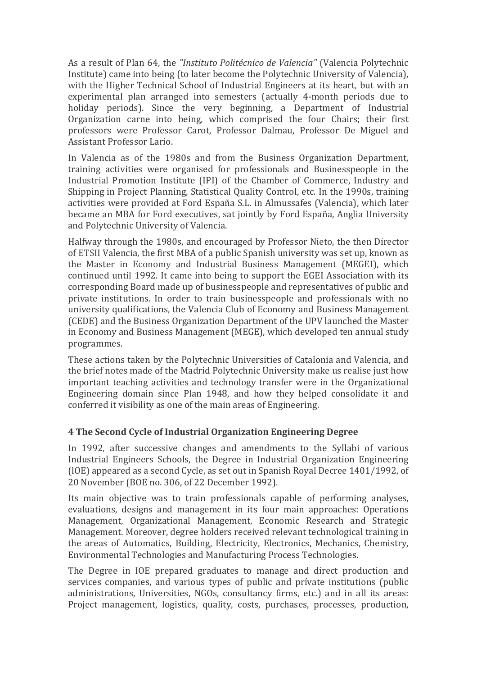As a result of Plan 64, the *"Instituto Politécnico de Valencia"* (Valencia Polytechnic Institute) came into being (to later become the Polytechnic University of Valencia), with the Higher Technical School of Industrial Engineers at its heart, but with an experimental plan arranged into semesters (actually 4-month periods due to holiday periods). Since the very beginning, a Department of Industrial Organization carne into being, which comprised the four Chairs; their first professors were Professor Carot, Professor Dalmau, Professor De Miguel and Assistant Professor Lario.

In Valencia as of the 1980s and from the Business Organization Department, training activities were organised for professionals and Businesspeople in the Industrial Promotion Institute (IPI) of the Chamber of Commerce, Industry and Shipping in Project Planning, Statistical Quality Control, etc. In the 1990s, training activities were provided at Ford España S.L. in Almussafes (Valencia), which later became an MBA for Ford executives, sat jointly by Ford España, Anglia University and Polytechnic University of Valencia.

Halfway through the 1980s, and encouraged by Professor Nieto, the then Director of ETSII Valencia, the first MBA of a public Spanish university was set up, known as the Master in Economy and Industrial Business Management (MEGEI), which continued until 1992. It came into being to support the EGEI Association with its corresponding Board made up of businesspeople and representatives of public and private institutions. In order to train businesspeople and professionals with no university qualifications, the Valencia Club of Economy and Business Management (CEDE) and the Business Organization Department of the UPV launched the Master in Economy and Business Management (MEGE), which developed ten annual study programmes.

These actions taken by the Polytechnic Universities of Catalonia and Valencia, and the brief notes made of the Madrid Polytechnic University make us realise just how important teaching activities and technology transfer were in the Organizational Engineering domain since Plan 1948, and how they helped consolidate it and conferred it visibility as one of the main areas of Engineering.

#### **4 The Second Cycle of Industrial Organization Engineering Degree**

In 1992, after successive changes and amendments to the Syllabi of various Industrial Engineers Schools, the Degree in Industrial Organization Engineering (IOE) appeared as a second Cycle, as set out in Spanish Royal Decree 1401/1992, of 20 November (BOE no. 306, of 22 December 1992).

Its main objective was to train professionals capable of performing analyses, evaluations, designs and management in its four main approaches: Operations Management, Organizational Management, Economic Research and Strategic Management. Moreover, degree holders received relevant technological training in the areas of Automatics, Building, Electricity, Electronics, Mechanics, Chemistry, Environmental Technologies and Manufacturing Process Technologies.

The Degree in IOE prepared graduates to manage and direct production and services companies, and various types of public and prívate institutions (public administrations, Universities, NGOs, consultancy firms, etc.) and in all its areas: Project management, logistics, quality, costs, purchases, processes, production,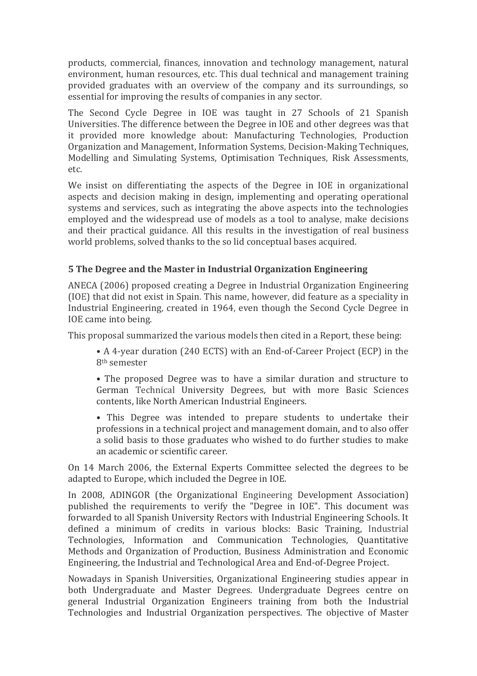products, commercial, finances, innovation and technology management, natural environment, human resources, etc. This dual technical and management training provided graduates with an overview of the company and its surroundings, so essential for improving the results of companies in any sector.

The Second Cycle Degree in IOE was taught in 27 Schools of 21 Spanish Universities. The difference between the Degree in IOE and other degrees was that it provided more knowledge about: Manufacturing Technologies, Production Organization and Management, Information Systems, Decision-Making Techniques, Modelling and Simulating Systems, Optimisation Techniques, Risk Assessments, etc.

We insist on differentiating the aspects of the Degree in IOE in organizational aspects and decision making in design, implementing and operating operational systems and services, such as integrating the above aspects into the technologies employed and the widespread use of models as a tool to analyse, make decisions and their practical guidance. All this results in the investigation of real business world problems, solved thanks to the so lid conceptual bases acquired.

## **5** The Degree and the Master in Industrial Organization Engineering

ANECA (2006) proposed creating a Degree in Industrial Organization Engineering (IOE) that did not exist in Spain. This name, however, did feature as a speciality in Industrial Engineering, created in 1964, even though the Second Cycle Degree in IOE came into being.

This proposal summarized the various models then cited in a Report, these being:

• A 4-year duration (240 ECTS) with an End-of-Career Project (ECP) in the 8th semester

• The proposed Degree was to have a similar duration and structure to German Technical University Degrees, but with more Basic Sciences contents, like North American Industrial Engineers.

• This Degree was intended to prepare students to undertake their professions in a technical project and management domain, and to also offer a solid basis to those graduates who wished to do further studies to make an academic or scientific career.

On 14 March 2006, the External Experts Committee selected the degrees to be adapted to Europe, which included the Degree in IOE.

In 2008, ADINGOR (the Organizational Engineering Development Association) published the requirements to verify the "Degree in IOE". This document was forwarded to all Spanish University Rectors with Industrial Engineering Schools. It defined a minimum of credits in various blocks: Basic Training, Industrial Technologies, Information and Communication Technologies, Quantitative Methods and Organization of Production, Business Administration and Economic Engineering, the Industrial and Technological Area and End-of-Degree Project.

Nowadays in Spanish Universities, Organizational Engineering studies appear in both Undergraduate and Master Degrees. Undergraduate Degrees centre on general Industrial Organization Engineers training from both the Industrial Technologies and Industrial Organization perspectives. The objective of Master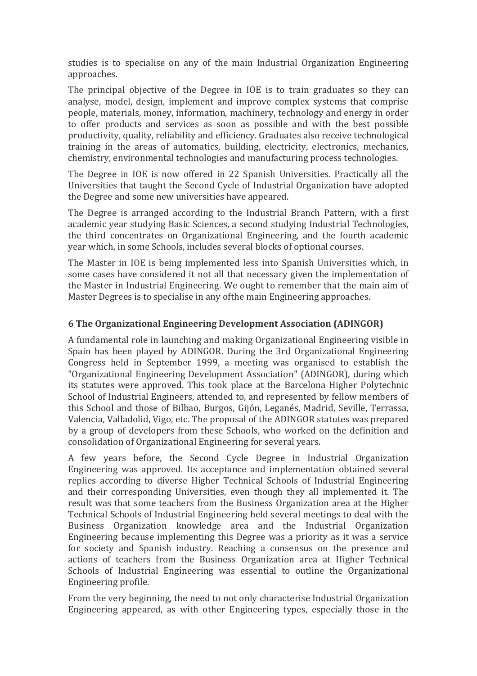studies is to specialise on any of the main Industrial Organization Engineering approaches.

The principal objective of the Degree in  $IOE$  is to train graduates so they can analyse, model, design, implement and improve complex systems that comprise people, materials, money, information, machinery, technology and energy in order to offer products and services as soon as possible and with the best possible productivity, quality, reliability and efficiency. Graduates also receive technological training in the areas of automatics, building, electricity, electronics, mechanics, chemistry, environmental technologies and manufacturing process technologies.

The Degree in IOE is now offered in 22 Spanish Universities. Practically all the Universities that taught the Second Cycle of Industrial Organization have adopted the Degree and some new universities have appeared.

The Degree is arranged according to the Industrial Branch Pattern, with a first academic year studying Basic Sciences, a second studying Industrial Technologies, the third concentrates on Organizational Engineering, and the fourth academic year which, in some Schools, includes several blocks of optional courses.

The Master in IOE is being implemented less into Spanish Universities which, in some cases have considered it not all that necessary given the implementation of the Master in Industrial Engineering. We ought to remember that the main aim of Master Degrees is to specialise in any ofthe main Engineering approaches.

### **6** The Organizational Engineering Development Association (ADINGOR)

A fundamental role in launching and making Organizational Engineering visible in Spain has been played by ADINGOR. During the 3rd Organizational Engineering Congress held in September 1999, a meeting was organised to establish the "Organizational Engineering Development Association" (ADINGOR), during which its statutes were approved. This took place at the Barcelona Higher Polytechnic School of Industrial Engineers, attended to, and represented by fellow members of this School and those of Bilbao, Burgos, Gijón, Leganés, Madrid, Seville, Terrassa, Valencia, Valladolid, Vigo, etc. The proposal of the ADINGOR statutes was prepared by a group of developers from these Schools, who worked on the definition and consolidation of Organizational Engineering for several years.

A few years before, the Second Cycle Degree in Industrial Organization Engineering was approved. Its acceptance and implementation obtained several replies according to diverse Higher Technical Schools of Industrial Engineering and their corresponding Universities, even though they all implemented it. The result was that some teachers from the Business Organization area at the Higher Technical Schools of Industrial Engineering held several meetings to deal with the Business Organization knowledge area and the Industrial Organization Engineering because implementing this Degree was a priority as it was a service for society and Spanish industry. Reaching a consensus on the presence and actions of teachers from the Business Organization area at Higher Technical Schools of Industrial Engineering was essential to outline the Organizational Engineering profile.

From the very beginning, the need to not only characterise Industrial Organization Engineering appeared, as with other Engineering types, especially those in the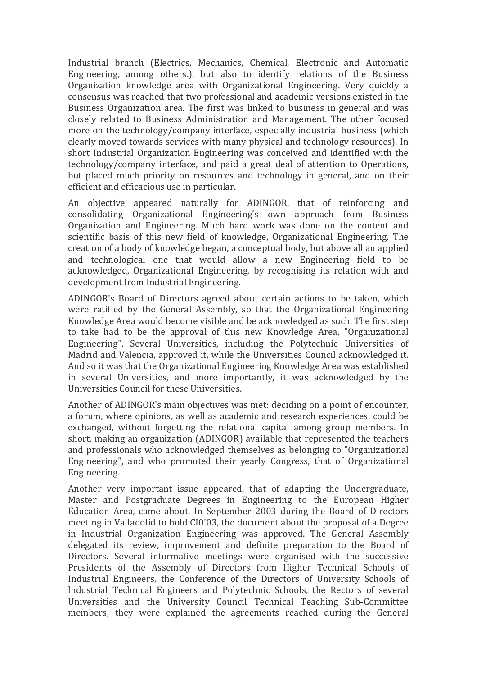Industrial branch (Electrics, Mechanics, Chemical, Electronic and Automatic Engineering, among others.), but also to identify relations of the Business Organization knowledge area with Organizational Engineering. Very quickly a consensus was reached that two professional and academic versions existed in the Business Organization area. The first was linked to business in general and was closely related to Business Administration and Management. The other focused more on the technology/company interface, especially industrial business (which clearly moved towards services with many physical and technology resources). In short Industrial Organization Engineering was conceived and identified with the technology/company interface, and paid a great deal of attention to Operations, but placed much priority on resources and technology in general, and on their efficient and efficacious use in particular.

An objective appeared naturally for ADINGOR, that of reinforcing and consolidating Organizational Engineering's own approach from Business Organization and Engineering. Much hard work was done on the content and scientific basis of this new field of knowledge, Organizational Engineering. The creation of a body of knowledge began, a conceptual body, but above all an applied and technological one that would allow a new Engineering field to be acknowledged, Organizational Engineering, by recognising its relation with and development from Industrial Engineering.

ADINGOR's Board of Directors agreed about certain actions to be taken, which were ratified by the General Assembly, so that the Organizational Engineering Knowledge Area would become visible and be acknowledged as such. The first step to take had to be the approval of this new Knowledge Area, "Organizational Engineering". Several Universities, including the Polytechnic Universities of Madrid and Valencia, approved it, while the Universities Council acknowledged it. And so it was that the Organizational Engineering Knowledge Area was established in several Universities, and more importantly, it was acknowledged by the Universities Council for these Universities.

Another of ADINGOR's main objectives was met: deciding on a point of encounter, a forum, where opinions, as well as academic and research experiences, could be exchanged, without forgetting the relational capital among group members. In short, making an organization (ADINGOR) available that represented the teachers and professionals who acknowledged themselves as belonging to "Organizational Engineering", and who promoted their yearly Congress, that of Organizational Engineering.

Another very important issue appeared, that of adapting the Undergraduate, Master and Postgraduate Degrees in Engineering to the European Higher Education Area, came about. In September 2003 during the Board of Directors meeting in Valladolid to hold CI0'03, the document about the proposal of a Degree in Industrial Organization Engineering was approved. The General Assembly delegated its review, improvement and definite preparation to the Board of Directors. Several informative meetings were organised with the successive Presidents of the Assembly of Directors from Higher Technical Schools of Industrial Engineers, the Conference of the Directors of University Schools of Industrial Technical Engineers and Polytechnic Schools, the Rectors of several Universities and the University Council Technical Teaching Sub-Committee members; they were explained the agreements reached during the General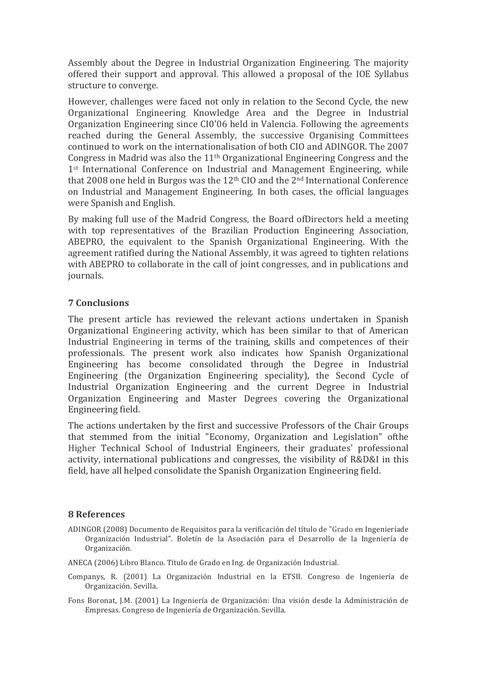Assembly about the Degree in Industrial Organization Engineering. The majority offered their support and approval. This allowed a proposal of the IOE Syllabus structure to converge.

However, challenges were faced not only in relation to the Second Cycle, the new Organizational Engineering Knowledge Area and the Degree in Industrial Organization Engineering since CI0'06 held in Valencia. Following the agreements reached during the General Assembly, the successive Organising Committees continued to work on the internationalisation of both CIO and ADINGOR. The 2007 Congress in Madrid was also the  $11<sup>th</sup>$  Organizational Engineering Congress and the  $1<sup>st</sup>$  International Conference on Industrial and Management Engineering, while that 2008 one held in Burgos was the  $12<sup>th</sup>$  CIO and the  $2<sup>nd</sup>$  International Conference on Industrial and Management Engineering. In both cases, the official languages were Spanish and English.

By making full use of the Madrid Congress, the Board ofDirectors held a meeting with top representatives of the Brazilian Production Engineering Association, ABEPRO, the equivalent to the Spanish Organizational Engineering. With the agreement ratified during the National Assembly, it was agreed to tighten relations with ABEPRO to collaborate in the call of joint congresses, and in publications and journals.

#### **7 Conclusions**

The present article has reviewed the relevant actions undertaken in Spanish Organizational Engineering activity, which has been similar to that of American Industrial Engineering in terms of the training, skills and competences of their professionals. The present work also indicates how Spanish Organizational Engineering has become consolidated through the Degree in Industrial Engineering (the Organization Engineering speciality), the Second Cycle of Industrial Organization Engineering and the current Degree in Industrial Organization Engineering and Master Degrees covering the Organizational Engineering field.

The actions undertaken by the first and successive Professors of the Chair Groups that stemmed from the initial "Economy, Organization and Legislation" ofthe Higher Technical School of Industrial Engineers, their graduates' professional activity, international publications and congresses, the visibility of R&D&I in this field, have all helped consolidate the Spanish Organization Engineering field.

#### **8 References**

ADINGOR (2008) Documento de Requisitos para la verificación del título de "Grado en Ingenieríade Organización Industrial". Boletín de la Asociación para el Desarrollo de la Ingeniería de Organización.

ANECA (2006) Libro Blanco. Título de Grado en Ing. de Organización Industrial.

- Companys, R. (2001) La Organización Industrial en la ETSII. Congreso de Ingeniería de Organización. Sevilla.
- Fons Boronat, J.M. (2001) La Ingeniería de Organización: Una visión desde la Admínistración de Empresas. Congreso de Ingeniería de Organización. Sevilla.